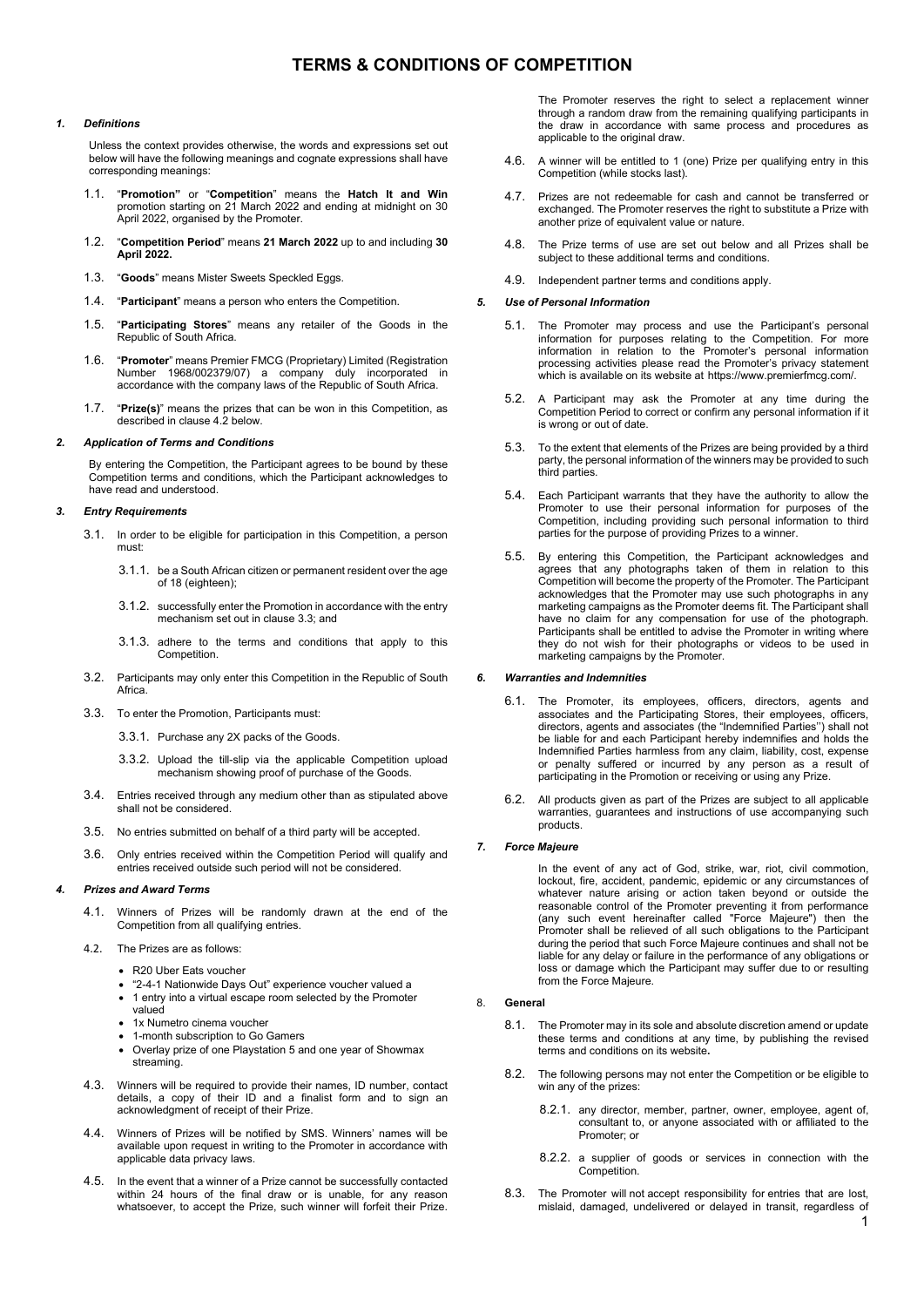# **TERMS & CONDITIONS OF COMPETITION**

### *1. Definitions*

Unless the context provides otherwise, the words and expressions set out below will have the following meanings and cognate expressions shall have corresponding meanings:

- 1.1. "**Promotion"** or "**Competition**" means the **Hatch It and Win** promotion starting on 21 March 2022 and ending at midnight on 30 April 2022, organised by the Promoter.
- 1.2. "**Competition Period**" means **21 March 2022** up to and including **30 April 2022.**
- 1.3. "**Goods**" means Mister Sweets Speckled Eggs.
- 1.4. "**Participant**" means a person who enters the Competition.
- 1.5. "**Participating Stores**" means any retailer of the Goods in the Republic of South Africa.
- 1.6. "**Promoter**" means Premier FMCG (Proprietary) Limited (Registration Number 1968/002379/07) a company duly incorporated in accordance with the company laws of the Republic of South Africa.
- 1.7. "**Prize(s)**" means the prizes that can be won in this Competition, as described in clause 4.2 below.

#### *2. Application of Terms and Conditions*

By entering the Competition, the Participant agrees to be bound by these Competition terms and conditions, which the Participant acknowledges to have read and understood.

#### *3. Entry Requirements*

- 3.1. In order to be eligible for participation in this Competition, a person must:
	- 3.1.1. be a South African citizen or permanent resident over the age of 18 (eighteen);
	- 3.1.2. successfully enter the Promotion in accordance with the entry mechanism set out in clause 3.3; and
	- 3.1.3. adhere to the terms and conditions that apply to this Competition.
- 3.2. Participants may only enter this Competition in the Republic of South Africa.
- 3.3. To enter the Promotion, Participants must:
	- 3.3.1. Purchase any 2X packs of the Goods.
	- 3.3.2. Upload the till-slip via the applicable Competition upload mechanism showing proof of purchase of the Goods.
- 3.4. Entries received through any medium other than as stipulated above shall not be considered.
- 3.5. No entries submitted on behalf of a third party will be accepted.
- 3.6. Only entries received within the Competition Period will qualify and entries received outside such period will not be considered.

### *4. Prizes and Award Terms*

- 4.1. Winners of Prizes will be randomly drawn at the end of the Competition from all qualifying entries.
- 4.2. The Prizes are as follows:
	- R20 Uber Eats voucher
	- "2-4-1 Nationwide Days Out" experience voucher valued a
	- 1 entry into a virtual escape room selected by the Promoter valued
	- 1x Numetro cinema voucher
	- 1-month subscription to Go Gamers
	- Overlay prize of one Playstation 5 and one year of Showmax streaming.
- 4.3. Winners will be required to provide their names, ID number, contact details, a copy of their ID and a finalist form and to sign an acknowledgment of receipt of their Prize.
- 4.4. Winners of Prizes will be notified by SMS. Winners' names will be available upon request in writing to the Promoter in accordance with applicable data privacy laws.
- 4.5. In the event that a winner of a Prize cannot be successfully contacted within 24 hours of the final draw or is unable, for any reason whatsoever, to accept the Prize, such winner will forfeit their Prize.

The Promoter reserves the right to select a replacement winner through a random draw from the remaining qualifying participants in the draw in accordance with same process and procedures as applicable to the original draw.

- 4.6. A winner will be entitled to 1 (one) Prize per qualifying entry in this Competition (while stocks last).
- 4.7. Prizes are not redeemable for cash and cannot be transferred or exchanged. The Promoter reserves the right to substitute a Prize with another prize of equivalent value or nature.
- 4.8. The Prize terms of use are set out below and all Prizes shall be subject to these additional terms and conditions.
- 4.9. Independent partner terms and conditions apply.

### *5. Use of Personal Information*

- 5.1. The Promoter may process and use the Participant's personal information for purposes relating to the Competition. For more information in relation to the Promoter's personal information processing activities please read the Promoter's privacy statement which is available on its website at https://www.premierfmcg.com/.
- 5.2. A Participant may ask the Promoter at any time during the Competition Period to correct or confirm any personal information if it is wrong or out of date.
- 5.3. To the extent that elements of the Prizes are being provided by a third party, the personal information of the winners may be provided to such third parties.
- 5.4. Each Participant warrants that they have the authority to allow the Promoter to use their personal information for purposes of the Competition, including providing such personal information to third parties for the purpose of providing Prizes to a winner.
- 5.5. By entering this Competition, the Participant acknowledges and agrees that any photographs taken of them in relation to this Competition will become the property of the Promoter. The Participant acknowledges that the Promoter may use such photographs in any marketing campaigns as the Promoter deems fit. The Participant shall have no claim for any compensation for use of the photograph. Participants shall be entitled to advise the Promoter in writing where they do not wish for their photographs or videos to be used in marketing campaigns by the Promoter.

### *6. Warranties and Indemnities*

- 6.1. The Promoter, its employees, officers, directors, agents and associates and the Participating Stores, their employees, officers, directors, agents and associates (the "Indemnified Parties'') shall not be liable for and each Participant hereby indemnifies and holds the Indemnified Parties harmless from any claim, liability, cost, expense or penalty suffered or incurred by any person as a result of participating in the Promotion or receiving or using any Prize.
- 6.2. All products given as part of the Prizes are subject to all applicable warranties, guarantees and instructions of use accompanying such products.

### *7. Force Majeure*

In the event of any act of God, strike, war, riot, civil commotion, lockout, fire, accident, pandemic, epidemic or any circumstances of whatever nature arising or action taken beyond or outside the reasonable control of the Promoter preventing it from performance (any such event hereinafter called "Force Majeure") then the Promoter shall be relieved of all such obligations to the Participant during the period that such Force Majeure continues and shall not be liable for any delay or failure in the performance of any obligations or loss or damage which the Participant may suffer due to or resulting from the Force Majeure.

#### 8. **General**

- 8.1. The Promoter may in its sole and absolute discretion amend or update these terms and conditions at any time, by publishing the revised terms and conditions on its website**.**
- 8.2. The following persons may not enter the Competition or be eligible to win any of the prizes:
	- 8.2.1. any director, member, partner, owner, employee, agent of, consultant to, or anyone associated with or affiliated to the Promoter; or
	- 8.2.2. a supplier of goods or services in connection with the Competition.
- 8.3. The Promoter will not accept responsibility for entries that are lost, mislaid, damaged, undelivered or delayed in transit, regardless of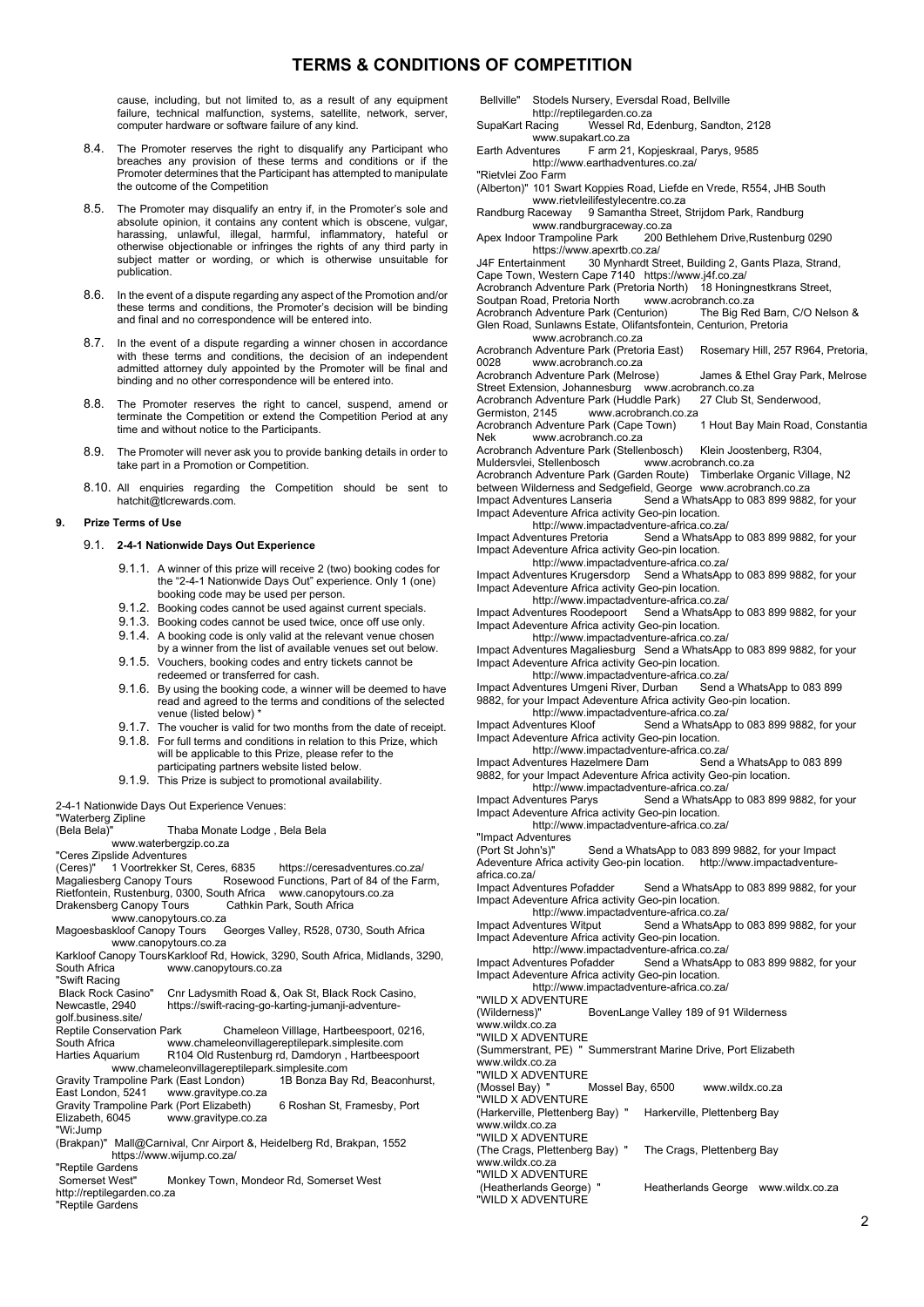# **TERMS & CONDITIONS OF COMPETITION**

cause, including, but not limited to, as a result of any equipment failure, technical malfunction, systems, satellite, network, server, computer hardware or software failure of any kind.

- 8.4. The Promoter reserves the right to disqualify any Participant who breaches any provision of these terms and conditions or if the Promoter determines that the Participant has attempted to manipulate the outcome of the Competition
- 8.5. The Promoter may disqualify an entry if, in the Promoter's sole and absolute opinion, it contains any content which is obscene, vulgar, harassing, unlawful, illegal, harmful, inflammatory, hateful or otherwise objectionable or infringes the rights of any third party in subject matter or wording, or which is otherwise unsuitable for publication.
- 8.6. In the event of a dispute regarding any aspect of the Promotion and/or these terms and conditions, the Promoter's decision will be binding and final and no correspondence will be entered into.
- 8.7. In the event of a dispute regarding a winner chosen in accordance with these terms and conditions, the decision of an independent admitted attorney duly appointed by the Promoter will be final and binding and no other correspondence will be entered into.
- 8.8. The Promoter reserves the right to cancel, suspend, amend or terminate the Competition or extend the Competition Period at any time and without notice to the Participants.
- 8.9. The Promoter will never ask you to provide banking details in order to take part in a Promotion or Competition.
- 8.10. All enquiries regarding the Competition should be sent to hatchit@tlcrewards.com.

### **9. Prize Terms of Use**

### 9.1. **2-4-1 Nationwide Days Out Experience**

- 9.1.1. A winner of this prize will receive 2 (two) booking codes for the "2-4-1 Nationwide Days Out" experience. Only 1 (one) booking code may be used per person.
- 9.1.2. Booking codes cannot be used against current specials.
- 9.1.3. Booking codes cannot be used twice, once off use only.
- 9.1.4. A booking code is only valid at the relevant venue chosen by a winner from the list of available venues set out below.
- 9.1.5. Vouchers, booking codes and entry tickets cannot be redeemed or transferred for cash.
- 9.1.6. By using the booking code, a winner will be deemed to have read and agreed to the terms and conditions of the selected venue (listed below) \*
- 9.1.7. The voucher is valid for two months from the date of receipt. 9.1.8. For full terms and conditions in relation to this Prize, which will be applicable to this Prize, please refer to the
- participating partners website listed below.
- 9.1.9. This Prize is subject to promotional availability.

2-4-1 Nationwide Days Out Experience Venues:

"Waterberg Zipline

| <i>vvaterberg zipline</i>                      |                           |                                                                               |  |  |
|------------------------------------------------|---------------------------|-------------------------------------------------------------------------------|--|--|
| (Bela Bela)"                                   |                           | Thaba Monate Lodge, Bela Bela                                                 |  |  |
|                                                | www.waterbergzip.co.za    |                                                                               |  |  |
| "Ceres Zipslide Adventures                     |                           |                                                                               |  |  |
| (Ceres)"  1 Voortrekker St, Ceres, 6835        |                           | https://ceresadventures.co.za/                                                |  |  |
|                                                |                           | Magaliesberg Canopy Tours Rosewood Functions, Part of 84 of the Farm,         |  |  |
|                                                |                           | Rietfontein, Rustenburg, 0300, South Africa  www.canopytours.co.za            |  |  |
|                                                |                           | Drakensberg Canopy Tours Cathkin Park, South Africa                           |  |  |
|                                                | www.canopytours.co.za     |                                                                               |  |  |
| Magoesbaskloof Canopy Tours                    |                           | Georges Valley, R528, 0730, South Africa                                      |  |  |
|                                                | www.canopytours.co.za     |                                                                               |  |  |
|                                                |                           | Karkloof Canopy ToursKarkloof Rd, Howick, 3290, South Africa, Midlands, 3290, |  |  |
| South Africa                                   | www.canopytours.co.za     |                                                                               |  |  |
| "Swift Racing                                  |                           |                                                                               |  |  |
| Black Rock Casino"                             |                           | Cnr Ladysmith Road &, Oak St, Black Rock Casino,                              |  |  |
| Newcastle, 2940                                |                           | https://swift-racing-go-karting-jumanji-adventure-                            |  |  |
| qolf.business.site/                            |                           |                                                                               |  |  |
| Reptile Conservation Park                      |                           | Chameleon Villlage, Hartbeespoort, 0216,                                      |  |  |
| South Africa                                   |                           | www.chameleonvillagereptilepark.simplesite.com                                |  |  |
| Harties Aquarium                               |                           | R104 Old Rustenburg rd, Damdoryn, Hartbeespoort                               |  |  |
|                                                |                           | www.chameleonvillagereptilepark.simplesite.com                                |  |  |
|                                                |                           | Gravity Trampoline Park (East London) 1B Bonza Bay Rd, Beaconhurst,           |  |  |
| East London, 5241 www.gravitype.co.za          |                           |                                                                               |  |  |
| Gravity Trampoline Park (Port Elizabeth)       |                           | 6 Roshan St, Framesby, Port                                                   |  |  |
| Elizabeth, 6045 www.gravitype.co.za            |                           |                                                                               |  |  |
| "Wi:Jump                                       |                           |                                                                               |  |  |
|                                                |                           | (Brakpan)" Mall@Carnival, Cnr Airport &, Heidelberg Rd, Brakpan, 1552         |  |  |
|                                                | https://www.wijump.co.za/ |                                                                               |  |  |
| "Reptile Gardens                               |                           |                                                                               |  |  |
| Somerset West"                                 |                           | Monkey Town, Mondeor Rd, Somerset West                                        |  |  |
| http://reptilegarden.co.za<br>"Reptile Gardens |                           |                                                                               |  |  |
|                                                |                           |                                                                               |  |  |
|                                                |                           |                                                                               |  |  |

 Bellville" Stodels Nursery, Eversdal Road, Bellville ہر<br>http://reptilegarden.co.za<br>Wessel Rd, E Wessel Rd, Edenburg, Sandton, 2128

 www.supakart.co.za Earth Adventures F arm 21, Kopjeskraal, Parys, 9585

http://www.earthadventures.co.za/

"Rietvlei Zoo Farm

(Alberton)" 101 Swart Koppies Road, Liefde en Vrede, R554, JHB South www.rietvleilifestylecentre.co.za

Randburg Raceway 9 Samantha Street, Strijdom Park, Randburg

 www.randburgraceway.co.za 200 Bethlehem Drive,Rustenburg 0290

Apex Indoor Trampoline Park 200<br>https://www.apexrtb.co.za/<br>J4F Entertainment 30 Mynhardt St. 1H<sub>P</sub> Entertainment Street, Building 2, Gants Plaza, Strand,

Cape Town, Western Cape 7140 https://www.j4f.co.za/<br>Cape Town, Western Cape 7140 https://www.j4f.co.za/<br>Acrobranch Adventure Park (Pretoria North) 18 Honingnestkrans Street,

Acrobranch Adventure Park (Pretoria North) 18 Honingnest Acrobranch Adventure Park (Pretoria North) 18 Honingn

Soutpan Road, Pretoria North www.acrobranch.co.za<br>Acrobranch Adventure Park (Centurion) The Big Red Barn, C/O Nelson & Acrobranch Adventure Park (Centurion) Glen Road, Sunlawns Estate, Olifantsfontein, Centurion, Pretoria

 www.acrobranch.co.za Acrobranch Adventure Park (Pretoria East) Rosemary Hill, 257 R964, Pretoria, www.acrobranch.co.za

Acrobranch Adventure Park (Melrose) James & Ethel Gray Park, Melrose

Street Extension, Johannesburg www.acrobranch.co.za<br>Acrobranch Adventure Park (Huddle Park) 27 Club St, Senderwood, Acrobranch Adventure Park (Huddle Park)<br>Germiston, 2145 www.acrobranch.co

www.acrobranch.co.za

Acrobranch Adventure Park (Cape Town) 1 Hout Bay Main Road, Constantia<br>Nek www.acrobranch.co.za www.acrobranch.co.za

Acrobranch Adventure Park (Stellenbosch) Klein Joostenberg, R304,<br>Acrobranch Adventure Park (Stellenbosch) Klein Joostenberg, R304,

Muldersvlei, Stellenbosch

Acrobranch Adventure Park (Garden Route) Timberlake Organic Village, N2

between Wilderness and Sedgefield, George www.acrobranch.co.za<br>Impact Adventures Lanseria Send a WhatsApp to 083 899 9882 Send a WhatsApp to 083 899 9882, for your Impact Adeventure Africa activity Geo-pin location.

http://www.impactadventure-africa.co.za/

Impact Adventures Pretoria Send a WhatsApp to 083 899 9882, for your Impact Adeventure Africa activity Geo-pin location.

http://www.impactadventure-africa.co.za/

Impact Adventures Krugersdorp Send a WhatsApp to 083 899 9882, for your Impact Adeventure Africa activity Geo-pin location.

http://www.impactadventure-africa.co.za/

Impact Adventures Roodepoort Send a WhatsApp to 083 899 9882, for your Impact Adeventure Africa activity Geo-pin location.

 http://www.impactadventure-africa.co.za/ Impact Adventures Magaliesburg Send a WhatsApp to 083 899 9882, for your Impact Adeventure Africa activity Geo-pin location.

http://www.impactadventure-africa.co.za/<br>http://www.impactadventure-africa.co.za/<br>ventures Umgeni River, Durban Send a WhatsApp to 083 899 Impact Adventures Umgeni River, Durban 9882, for your Impact Adeventure Africa activity Geo-pin location.

http://www.impactadventure-africa.co.za/<br>Impact Adventures Kloof Send a WhatsApp

Improduct Adventures Contract Contract Send a WhatsApp to 083 899 9882, for your Impact Adeventure Africa activity Geo-pin location.

http://www.impactadventure-africa.co.za/<br>ventures Hazelmere Dam Send a WhatsApp to 083 899 Impact Adventures Hazelmere Dam 9882, for your Impact Adeventure Africa activity Geo-pin location.

 http://www.impactadventure-africa.co.za/ Impact Adventures Parys Send a WhatsApp to 083 899 9882, for your Impact Adeventure Africa activity Geo-pin location.

http://www.impactadventure-africa.co.za/

"Impact Adventures<br>(Port St John's)"

Send a WhatsApp to 083 899 9882, for your Impact Adeventure Africa activity Geo-pin location. http://www.impactadventure-

africa.co.za/<br>Impact Adventures Pofadder Send a WhatsApp to 083 899 9882, for your Impact Adeventure Africa activity Geo-pin location.

http://www.impactadventure-africa.co.za/

Impact Adventures Witput Send a WhatsApp to 083 899 9882, for your Impact Adeventure Africa activity Geo-pin location.

http://www.impactadventure-africa.co.za/<br>Impact Adventures Pofadder Send a WhatsApr Send a WhatsApp to 083 899 9882, for your

Impact Adeventure Africa activity Geo-pin location. http://www.impactadventure-africa.co.za/

"WILD X ADVENTURE<br>(Wilderness)"

.<br>"BovenLange Valley 189 of 91 Wilderness www.wildx.co.za

"WILD X ADVENTURE

(Summerstrant, PE) " Summerstrant Marine Drive, Port Elizabeth www.wildx.co.za

"WILD X ADVENTURE

(Mossel Bay) " Mossel Bay, 6500 www.wildx.co.za

"WILD X ADVENTURE

(Harkerville, Plettenberg Bay) " Harkerville, Plettenberg Bay

www.wildx.co.za "WILD X ADVENTURE

(The Crags, Plettenberg Bay) " The Crags, Plettenberg Bay www.wildx.co.za

"WILD X ADVENTURE

Heatherlands George www.wildx.co.za (Heatherlands George)<br>"WILD X ADVENTURE